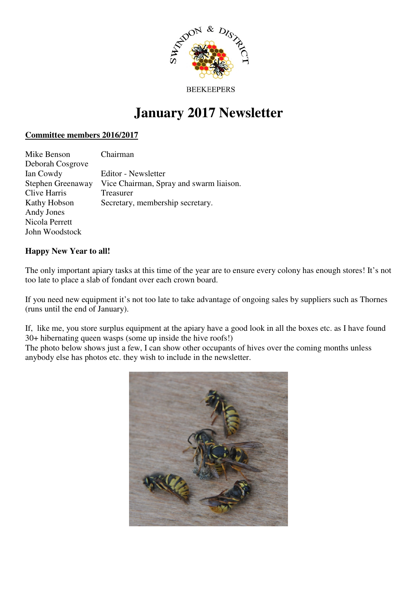

#### **BEEKEEPERS**

# **January 2017 Newsletter**

### **Committee members 2016/2017**

| Mike Benson       | Chairman                                |
|-------------------|-----------------------------------------|
| Deborah Cosgrove  |                                         |
| Ian Cowdy         | Editor - Newsletter                     |
| Stephen Greenaway | Vice Chairman, Spray and swarm liaison. |
| Clive Harris      | Treasurer                               |
| Kathy Hobson      | Secretary, membership secretary.        |
| Andy Jones        |                                         |
| Nicola Perrett    |                                         |
| John Woodstock    |                                         |

## **Happy New Year to all!**

The only important apiary tasks at this time of the year are to ensure every colony has enough stores! It's not too late to place a slab of fondant over each crown board.

If you need new equipment it's not too late to take advantage of ongoing sales by suppliers such as Thornes (runs until the end of January).

If, like me, you store surplus equipment at the apiary have a good look in all the boxes etc. as I have found 30+ hibernating queen wasps (some up inside the hive roofs!)

The photo below shows just a few, I can show other occupants of hives over the coming months unless anybody else has photos etc. they wish to include in the newsletter.